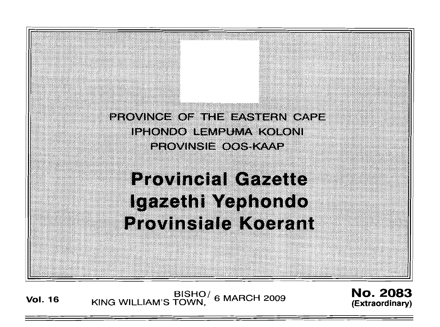

**Vol. <sup>16</sup>** BISHO/ KING WILLIAM'S TOWN, 6 MARCH 2009

No. 2083 **(Extraord inary)**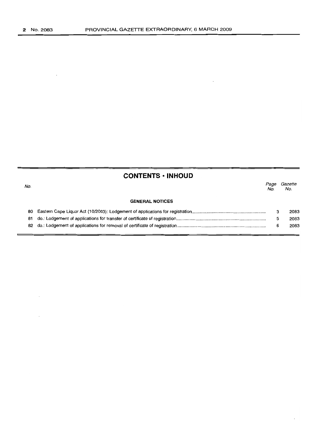# **CONTENTS ·INHOUD**

| No. |                        | Page<br>No. | Gazette<br>No. |
|-----|------------------------|-------------|----------------|
|     | <b>GENERAL NOTICES</b> |             |                |
| 80  |                        |             | 2083           |
| 81. |                        |             | 2083           |
|     |                        |             | 2083           |
|     |                        |             |                |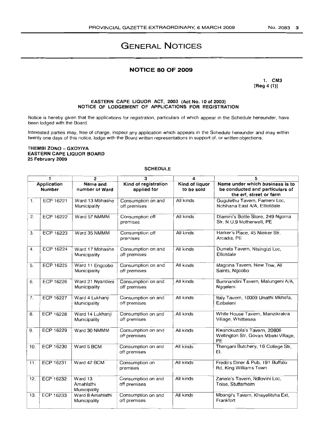# GENERAL NOTICES

## **NOTICE 80 OF 2009**

1. CM3 [Reg 4 (1)]

#### EASTERN CAPE LIQUOR ACT, 2003 (Act No. 10 of 2003) NOTICE OF LODGEMENT OF APPLICATIONS FOR REGISTRATION

Notice is hereby given that the applications for registration, particulars of which appear in the Schedule hereunder, have been lodged with the Board.

Interested parties may, free of charge, inspect any application which appears in the Schedule hereunder and may within twenty one days of this notice, lodge with the Board written representations in support of, or written objections.

### THEMBI ZONO - GXOYIYA EASTERN CAPE LIQUOR BOARD 25 February 2009

#### SCHEDULE

|                              | 1                | 2                                    | $\overline{\mathbf{3}}$             | 4                            | 5                                                                                             |  |
|------------------------------|------------------|--------------------------------------|-------------------------------------|------------------------------|-----------------------------------------------------------------------------------------------|--|
| Application<br><b>Number</b> |                  | Name and<br>number of Ward           | Kind of registration<br>applied for | Kind of liquor<br>to be sold | Name under which business is to<br>be conducted and particulars of<br>the erf, street or farm |  |
| 1.                           | ECP 16221        | Ward 13 Mbhashe<br>Municipality      | Consumption on and<br>off premises  | All kinds                    | Gugulethu Tavern, Fameni Loc,<br>Nchihana East A/A, Elliotdale                                |  |
| 2.                           | ECP 16222        | Ward 57 NMMM                         | Consumption off<br>premises         | All kinds                    | Dlamini's Bottle Store, 249 Ngoma<br>Str, N.U.9 Motherwell, PE                                |  |
| 3.                           | ECP 16223        | Ward 35 NMMM                         | Consumption off<br>premises         | All kinds                    | Harker's Place, 45 Nieker Str,<br>Arcadia, PE                                                 |  |
| 4.                           | ECP 16224        | Ward 17 Mbhashe<br>Municipality      | Consumption on and<br>off premises  | All kinds                    | Dumela Tavern, Ntsingizi Loc,<br>Elliotdale                                                   |  |
| 5.                           | <b>ECP 16225</b> | Ward 11 Engcobo<br>Municipality      | Consumption on and<br>off premises  | All kinds                    | Magcina Tavern, New Tow, All<br>Saints, Ngcobo                                                |  |
| 6.                           | <b>ECP 16226</b> | Ward 21 Nyandeni<br>Municipality     | Consumption on and<br>off premises  | All kinds                    | Bumnandini Tavern, Malungeni A/A,<br>Nggeleni                                                 |  |
| 7.                           | ECP 16227        | Ward 4 Lukhanji<br>Municipality      | Consumption on and<br>off premises  | All kinds                    | Italy Tavern, 10009 Unathi Mkhefa,<br>Ezibeleni                                               |  |
| 8.                           | ECP 16228        | Ward 14 Lukhanji<br>Municipality     | Consumption on and<br>off premises  | All kinds                    | White House Tavern, Manzikrakra<br>Village, Whittlesea                                        |  |
| 9.                           | ECP 16229        | Ward 30 NMMM                         | Consumption on and<br>off premises  | All kinds                    | Kwanokuzola's Tavern, 20806<br>Wellington Str, Govan Mbeki Village,<br>PE                     |  |
| 10.                          | ECP 16230        | Ward 5 BCM                           | Consumption on and<br>off premises  | All kinds                    | Thengani Butchery, 16 College Str,<br>EL                                                      |  |
| 11.                          | ECP 16231        | Ward 42 BCM                          | Consumption on<br>premises          | All kinds                    | Fredo's Diner & Pub, 191 Buffalo<br>Rd, King Williams Town                                    |  |
| 12.                          | ECP 16232        | Ward 13<br>Amahlathi<br>Municipality | Consumption on and<br>off premises  | All kinds                    | Zanele's Tavern, Ndlovini Loc,<br>Toise, Stutterheim                                          |  |
| 13.                          | ECP 16233        | Ward 8 Amahlathi<br>Municipality     | Consumption on and<br>off premises  | All kinds                    | Mbangi's Tavern, Khayelitsha Ext,<br>Frankfort                                                |  |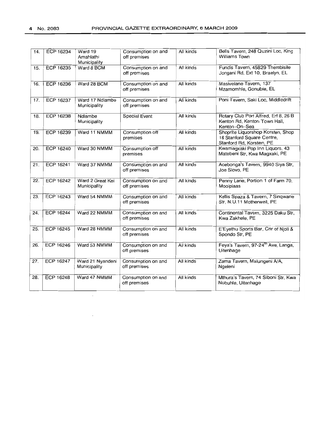| 14. | <b>ECP 16234</b> | Ward 19<br>Amahlathi<br>Municipality | Consumption on and<br>off premises | All kinds | Bells Tavern, 248 Quzini Loc, King<br>Williams Town                                         |
|-----|------------------|--------------------------------------|------------------------------------|-----------|---------------------------------------------------------------------------------------------|
| 15. | <b>ECP 16235</b> | Ward 8 BCM                           | Consumption on and<br>off premises | All kinds | Fundis Tavern, 45829 Thembisile<br>Jongani Rd, Ext 10, Braelyn, EL                          |
| 16. | ECP 16236        | Ward 28 BCM                          | Consumption on and<br>off premises | All kinds | Masivelane Tavern, 137<br>Mzamomhle, Gonubie, EL                                            |
| 17. | <b>ECP 16237</b> | Ward 17 Ndlambe<br>Municipality      | Consumption on and<br>off premises | All kinds | Poni Tavern, Saki Loc, Middledrift                                                          |
| 18. | <b>ECP 16238</b> | Ndlambe<br>Municipality              | Special Event                      | All kinds | Rotary Club Port Alfred, Erf 8, 26 B<br>Kenton Rd, Kenton Town Hall,<br>Kenton--On--Sea     |
| 19. | <b>ECP 16239</b> | Ward 11 NMMM                         | Consumption off<br>premises        | All kinds | Shoprite Liquorshop Korsten, Shop<br>18 Stanford Square Centre,<br>Stanford Rd, Korsten, PE |
| 20. | <b>ECP 16240</b> | Ward 30 NMMM                         | Consumption off<br>premises        | All kinds | Kwamagxaki Pop Inn Liquors, 43<br>Matebeni Str, Kwa Magxaki, PE                             |
| 21. | <b>ECP 16241</b> | Ward 37 NMMM                         | Consumption on and<br>off premises | All kinds | Acebonga's Tavern, 9940 Siya Str,<br>Joe Slovo, PE                                          |
| 22. | <b>ECP 16242</b> | Ward 2 Great Kei<br>Municipality     | Consumption on and<br>off premises | All kinds | Penny Lane, Portion 1 of Farm 70,<br>Mooiplaas                                              |
| 23. | ECP 16243        | Ward 54 NMMM                         | Consumption on and<br>off premises | All kinds | Kellis Spaza & Tavern, 7 Singwane<br>Str, N.U.11 Motherwell, PE                             |
| 24. | <b>ECP 16244</b> | Ward 22 NMMM                         | Consumption on and<br>off premises | All kinds | Continental Tavern, 3225 Daku Str,<br>Kwa Zakhele, PE                                       |
| 25. | <b>ECP 16245</b> | Ward 28 NMMM                         | Consumption on and<br>off premises | All kinds | E'Eyethu Sports Bar, Cnr of Njoli &<br>Spondo Str, PE                                       |
| 26. | ECP 16246        | Ward 53 NMMM                         | Consumption on and<br>off premises | All kinds | Feya's Tavern, 97-24 <sup>th</sup> Ave, Langa,<br>Uitenhage                                 |
| 27. | <b>ECP 16247</b> | Ward 21 Nyandeni<br>Municipality     | Consumption on and<br>off premises | All kinds | Zama Tavern, Malungeni A/A,<br>Ngeleni                                                      |
| 28. | <b>ECP 16248</b> | Ward 47 NMMM                         | Consumption on and<br>off premises | All kinds | Mthura's Tavern, 74 Siboni Str, Kwa<br>Nobuhle, Uitenhage                                   |

 $\bar{\mathcal{A}}$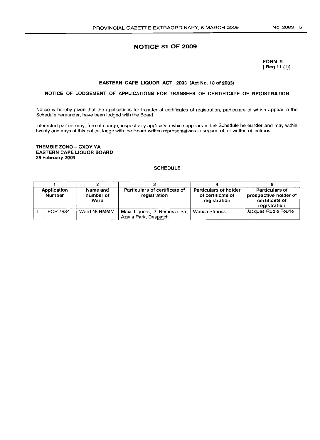# **NOTICE 81 OF 2009**

## FORM 9 [Reg 11 (1)]

## EASTERN CAPE LIQUOR ACT, 2003 (Act No. 10 of 2003)

## NOTICE OF LODGEMENT OF APPLICATIONS FOR TRANSFER OF CERTIFICATE OF REGISTRATION

Notice is hereby given that the applications for transfer of certificates of registration, particulars of which appear in the Schedule hereunder, have been lodged with the Board.

Interested parties may, free of charge, inspect any application which appears in the Schedule hereunder and may within twenty one days of this notice, lodge with the Board written representations in support of, or written objections.

#### THEMBIE ZONO - GXOYIYA EASTERN CAPE LIQUOR BOARD 25 February 2009

### SCHEDULE

| Application<br>Number |          | Name and<br>number of<br>Ward | Particulars of certificate of<br>registration         | Particulars of holder<br>of certificate of<br>registration | Particulars of<br>prospective holder of<br>certificate of<br>registration |
|-----------------------|----------|-------------------------------|-------------------------------------------------------|------------------------------------------------------------|---------------------------------------------------------------------------|
|                       | ECP 7634 | Ward 48 NMMM                  | Maxi Liguors, 2 Nemesia Str,<br>Azalla Park, Despatch | Wanda Strauss                                              | Jacques Rudie Fourie                                                      |